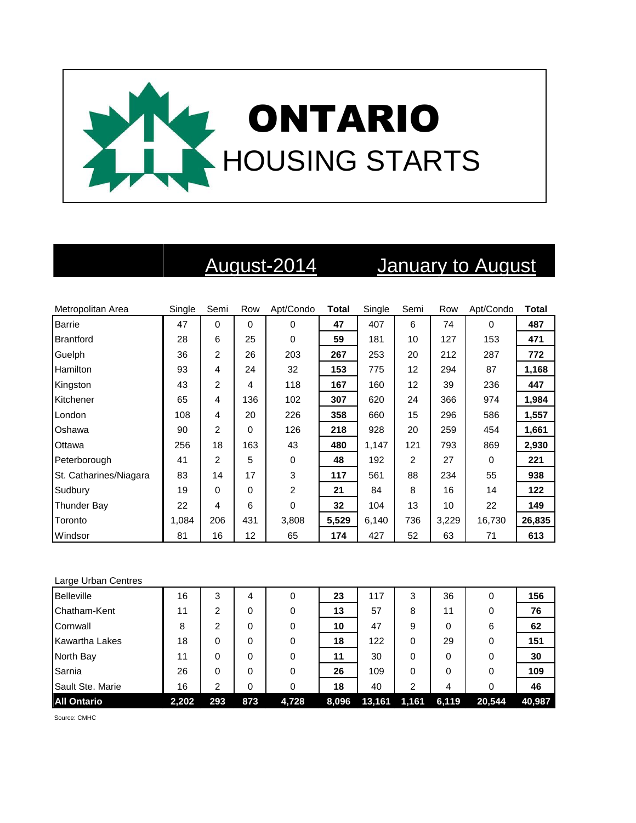

## August-2014 January to August

| Metropolitan Area      | Single | Semi           | Row      | Apt/Condo | <b>Total</b> | Single | Semi | Row   | Apt/Condo | <b>Total</b> |
|------------------------|--------|----------------|----------|-----------|--------------|--------|------|-------|-----------|--------------|
| <b>Barrie</b>          | 47     | 0              | $\Omega$ | $\Omega$  | 47           | 407    | 6    | 74    | 0         | 487          |
| <b>Brantford</b>       | 28     | 6              | 25       | $\Omega$  | 59           | 181    | 10   | 127   | 153       | 471          |
| Guelph                 | 36     | 2              | 26       | 203       | 267          | 253    | 20   | 212   | 287       | 772          |
| <b>Hamilton</b>        | 93     | 4              | 24       | 32        | 153          | 775    | 12   | 294   | 87        | 1,168        |
| Kingston               | 43     | 2              | 4        | 118       | 167          | 160    | 12   | 39    | 236       | 447          |
| Kitchener              | 65     | 4              | 136      | 102       | 307          | 620    | 24   | 366   | 974       | 1,984        |
| London                 | 108    | 4              | 20       | 226       | 358          | 660    | 15   | 296   | 586       | 1,557        |
| Oshawa                 | 90     | $\overline{2}$ | 0        | 126       | 218          | 928    | 20   | 259   | 454       | 1,661        |
| Ottawa                 | 256    | 18             | 163      | 43        | 480          | 1,147  | 121  | 793   | 869       | 2,930        |
| Peterborough           | 41     | 2              | 5        | 0         | 48           | 192    | 2    | 27    | 0         | 221          |
| St. Catharines/Niagara | 83     | 14             | 17       | 3         | 117          | 561    | 88   | 234   | 55        | 938          |
| Sudbury                | 19     | 0              | $\Omega$ | 2         | 21           | 84     | 8    | 16    | 14        | 122          |
| Thunder Bay            | 22     | 4              | 6        | 0         | 32           | 104    | 13   | 10    | 22        | 149          |
| Toronto                | 1,084  | 206            | 431      | 3,808     | 5,529        | 6,140  | 736  | 3,229 | 16,730    | 26,835       |
| Windsor                | 81     | 16             | 12       | 65        | 174          | 427    | 52   | 63    | 71        | 613          |

| Large Urban Centres   |       |                |     |       |       |        |       |       |          |        |
|-----------------------|-------|----------------|-----|-------|-------|--------|-------|-------|----------|--------|
| <b>Belleville</b>     | 16    | 3              | 4   | 0     | 23    | 117    | 3     | 36    | 0        | 156    |
| Chatham-Kent          | 11    | 2              | 0   | 0     | 13    | 57     | 8     | 11    | 0        | 76     |
| Cornwall              | 8     | $\overline{2}$ | 0   | 0     | 10    | 47     | 9     | 0     | 6        | 62     |
| <b>Kawartha Lakes</b> | 18    | 0              | 0   | 0     | 18    | 122    | 0     | 29    | $\Omega$ | 151    |
| North Bay             | 11    | 0              | 0   | 0     | 11    | 30     | 0     | 0     | 0        | 30     |
| Sarnia                | 26    | 0              | 0   | 0     | 26    | 109    | 0     | 0     | 0        | 109    |
| Sault Ste. Marie      | 16    | 2              | 0   | 0     | 18    | 40     | 2     | 4     | 0        | 46     |
| <b>All Ontario</b>    | 2,202 | 293            | 873 | 4,728 | 8,096 | 13,161 | 1,161 | 6,119 | 20,544   | 40,987 |

Source: CMHC